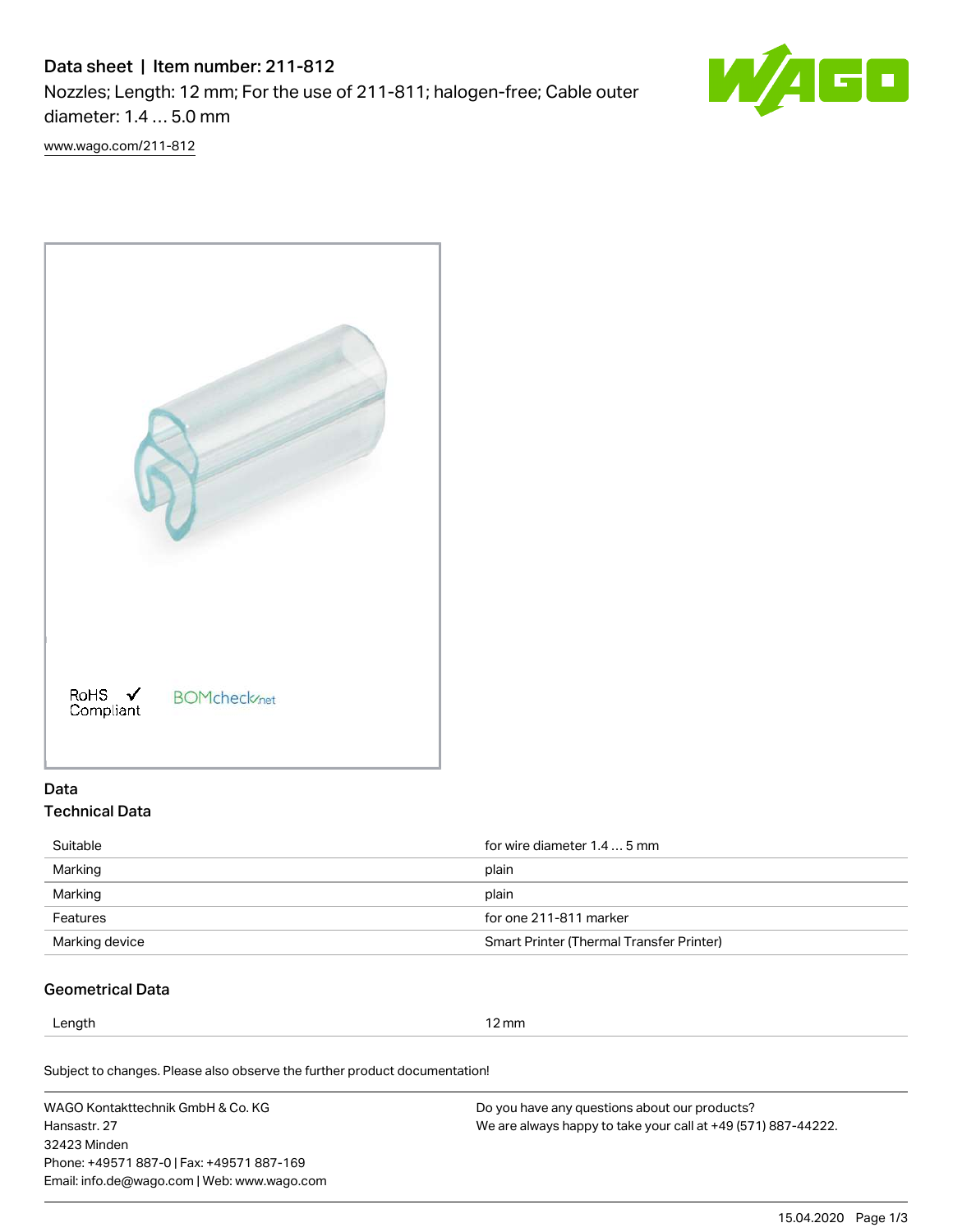# Data sheet | Item number: 211-812

Nozzles; Length: 12 mm; For the use of 211-811; halogen-free; Cable outer diameter: 1.4 … 5.0 mm



[www.wago.com/211-812](http://www.wago.com/211-812)



## Data Technical Data

| for wire diameter 1.4  5 mm                     |
|-------------------------------------------------|
| plain                                           |
| plain                                           |
| for one 211-811 marker                          |
| <b>Smart Printer (Thermal Transfer Printer)</b> |
|                                                 |

## Geometrical Data

Length 12 mm

Subject to changes. Please also observe the further product documentation!

WAGO Kontakttechnik GmbH & Co. KG Hansastr. 27 32423 Minden Phone: +49571 887-0 | Fax: +49571 887-169 Email: info.de@wago.com | Web: www.wago.com Do you have any questions about our products? We are always happy to take your call at +49 (571) 887-44222.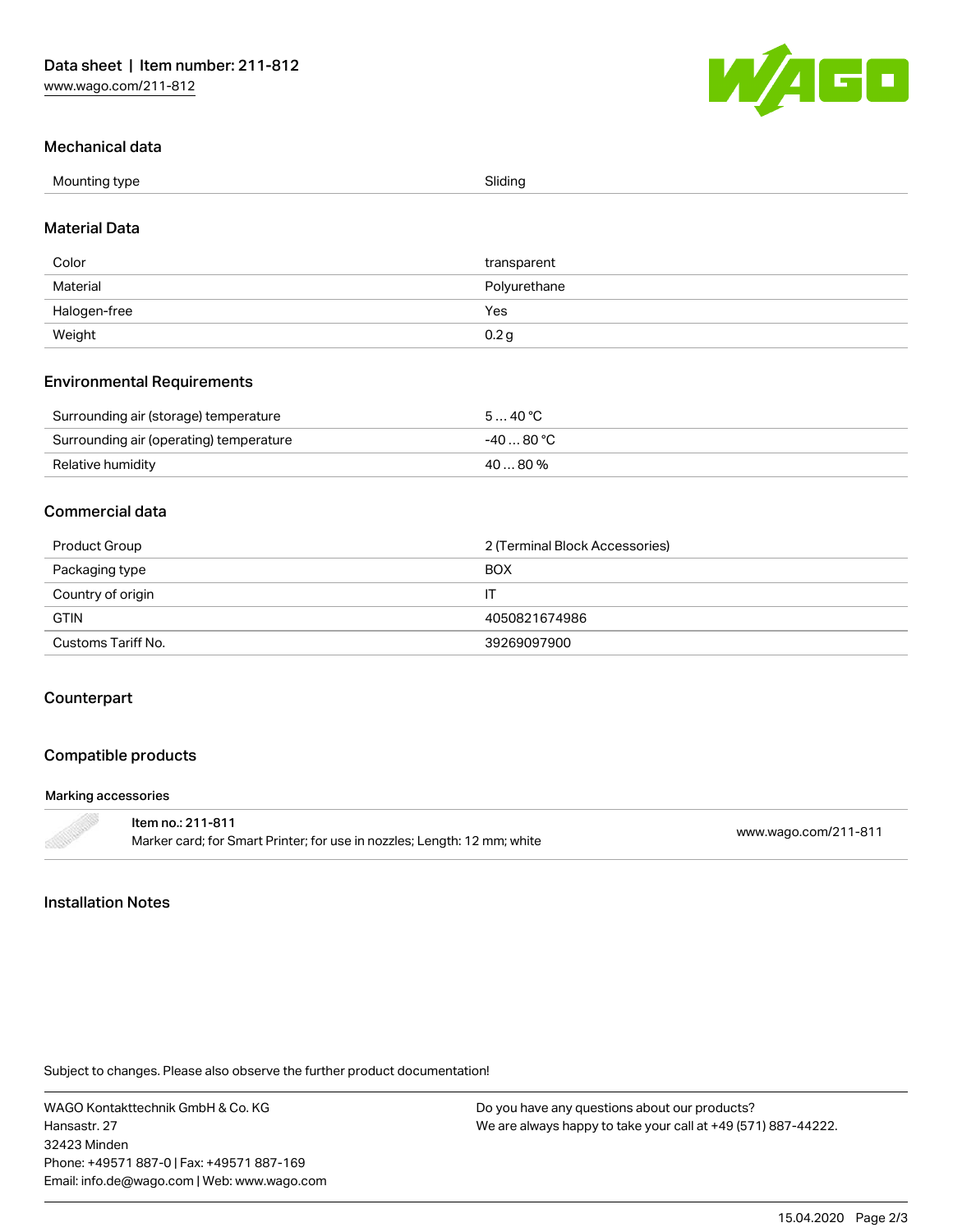

#### Mechanical data

| Mounting type<br>- 71 | Sliding |
|-----------------------|---------|
| $ -$                  |         |

#### Material Data

| Color        | transparent      |
|--------------|------------------|
| Material     | Polyurethane     |
| Halogen-free | Yes              |
| Weight       | 0.2 <sub>g</sub> |

#### Environmental Requirements

| Surrounding air (storage) temperature   | 540 °C      |
|-----------------------------------------|-------------|
| Surrounding air (operating) temperature | -40 … 80 °C |
| Relative humidity                       | 40  80 %    |

### Commercial data

| Product Group      | 2 (Terminal Block Accessories) |
|--------------------|--------------------------------|
| Packaging type     | <b>BOX</b>                     |
| Country of origin  | П                              |
| <b>GTIN</b>        | 4050821674986                  |
| Customs Tariff No. | 39269097900                    |

### Counterpart

### Compatible products

#### Marking accessories

| ltem no.: 211-811                                                        |                      |
|--------------------------------------------------------------------------|----------------------|
| Marker card; for Smart Printer; for use in nozzles; Length: 12 mm; white | www.wago.com/211-811 |

### Installation Notes

Subject to changes. Please also observe the further product documentation!

WAGO Kontakttechnik GmbH & Co. KG Hansastr. 27 32423 Minden Phone: +49571 887-0 | Fax: +49571 887-169 Email: info.de@wago.com | Web: www.wago.com

Do you have any questions about our products? We are always happy to take your call at +49 (571) 887-44222.